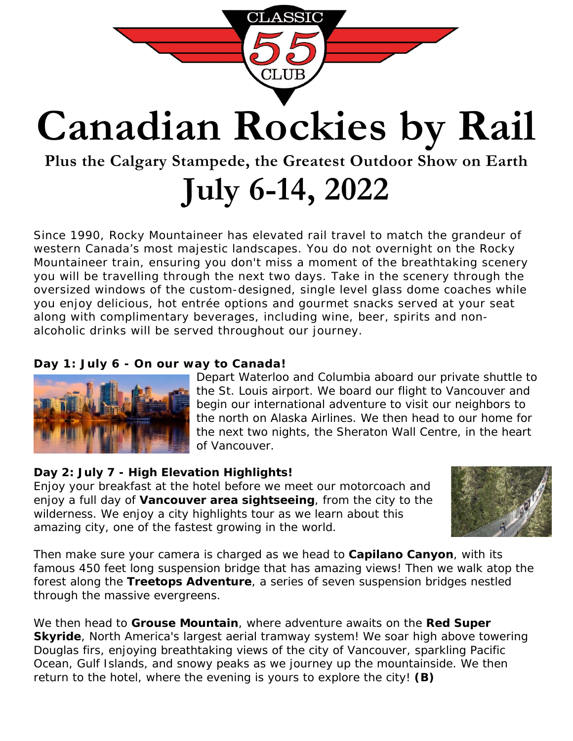

# **Canadian Rockies by Rail**

### **Plus the Calgary Stampede, the Greatest Outdoor Show on Earth**

## **July 6-14, 2022**

Since 1990, Rocky Mountaineer has elevated rail travel to match the grandeur of western Canada's most majestic landscapes. You do not overnight on the Rocky Mountaineer train, ensuring you don't miss a moment of the breathtaking scenery you will be travelling through the next two days. Take in the scenery through the oversized windows of the custom-designed, single level glass dome coaches while you enjoy delicious, hot entrée options and gourmet snacks served at your seat along with complimentary beverages, including wine, beer, spirits and nonalcoholic drinks will be served throughout our journey.

#### **Day 1: July 6 - On our way to Canada!**



Depart Waterloo and Columbia aboard our private shuttle to the St. Louis airport. We board our flight to Vancouver and begin our international adventure to visit our neighbors to the north on Alaska Airlines. We then head to our home for the next two nights, the Sheraton Wall Centre, in the heart of Vancouver.

#### **Day 2: July 7 - High Elevation Highlights!**

Enjoy your breakfast at the hotel before we meet our motorcoach and enjoy a full day of **Vancouver area sightseeing**, from the city to the wilderness. We enjoy a city highlights tour as we learn about this amazing city, one of the fastest growing in the world.



Then make sure your camera is charged as we head to **Capilano Canyon**, with its famous 450 feet long suspension bridge that has amazing views! Then we walk atop the forest along the **Treetops Adventure**, a series of seven suspension bridges nestled through the massive evergreens.

We then head to **Grouse Mountain**, where adventure awaits on the **Red Super Skyride**, North America's largest aerial tramway system! We soar high above towering Douglas firs, enjoying breathtaking views of the city of Vancouver, sparkling Pacific Ocean, Gulf Islands, and snowy peaks as we journey up the mountainside. We then return to the hotel, where the evening is yours to explore the city! **(B)**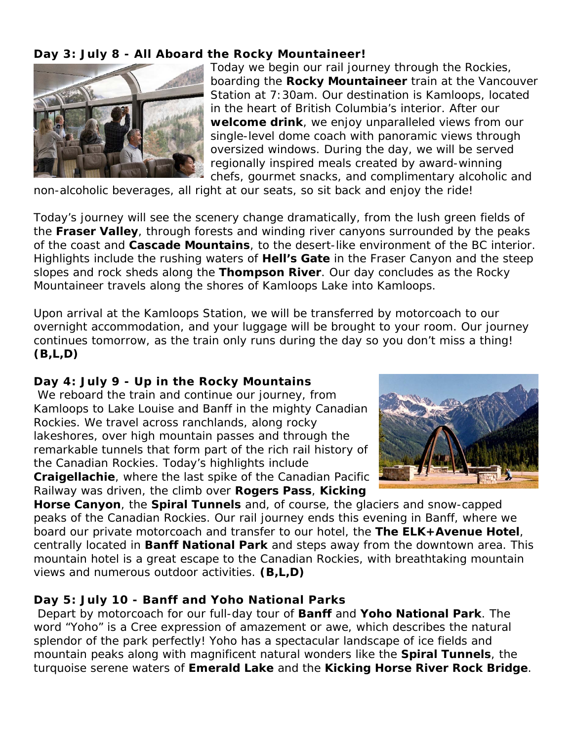**Day 3: July 8 - All Aboard the Rocky Mountaineer!**



Today we begin our rail journey through the Rockies, boarding the **Rocky Mountaineer** train at the Vancouver Station at 7:30am. Our destination is Kamloops, located in the heart of British Columbia's interior. After our **welcome drink**, we enjoy unparalleled views from our single-level dome coach with panoramic views through oversized windows. During the day, we will be served regionally inspired meals created by award-winning chefs, gourmet snacks, and complimentary alcoholic and

non-alcoholic beverages, all right at our seats, so sit back and enjoy the ride!

Today's journey will see the scenery change dramatically, from the lush green fields of the **Fraser Valley**, through forests and winding river canyons surrounded by the peaks of the coast and **Cascade Mountains**, to the desert-like environment of the BC interior. Highlights include the rushing waters of **Hell's Gate** in the Fraser Canyon and the steep slopes and rock sheds along the **Thompson River**. Our day concludes as the Rocky Mountaineer travels along the shores of Kamloops Lake into Kamloops.

Upon arrival at the Kamloops Station, we will be transferred by motorcoach to our overnight accommodation, and your luggage will be brought to your room. Our journey continues tomorrow, as the train only runs during the day so you don't miss a thing! **(B,L,D)**

**Day 4: July 9 - Up in the Rocky Mountains** We reboard the train and continue our journey, from Kamloops to Lake Louise and Banff in the mighty Canadian Rockies. We travel across ranchlands, along rocky lakeshores, over high mountain passes and through the remarkable tunnels that form part of the rich rail history of the Canadian Rockies. Today's highlights include **Craigellachie**, where the last spike of the Canadian Pacific Railway was driven, the climb over **Rogers Pass**, **Kicking** 



**Horse Canyon**, the **Spiral Tunnels** and, of course, the glaciers and snow-capped peaks of the Canadian Rockies. Our rail journey ends this evening in Banff, where we board our private motorcoach and transfer to our hotel, the **The ELK+Avenue Hotel**, centrally located in **Banff National Park** and steps away from the downtown area. This mountain hotel is a great escape to the Canadian Rockies, with breathtaking mountain views and numerous outdoor activities. **(B,L,D)**

#### **Day 5: July 10 - Banff and Yoho National Parks**

Depart by motorcoach for our full-day tour of **Banff** and **Yoho National Park**. The word "Yoho" is a Cree expression of amazement or awe, which describes the natural splendor of the park perfectly! Yoho has a spectacular landscape of ice fields and mountain peaks along with magnificent natural wonders like the **Spiral Tunnels**, the turquoise serene waters of **Emerald Lake** and the **Kicking Horse River Rock Bridge**.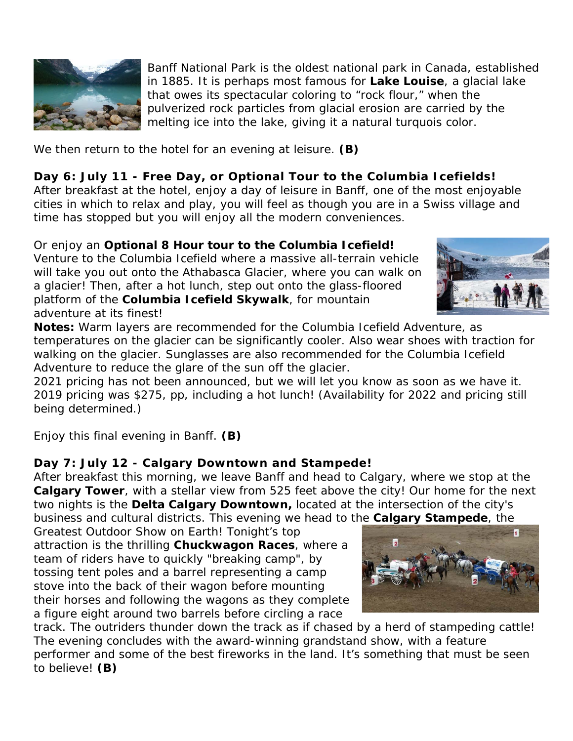

Banff National Park is the oldest national park in Canada, established in 1885. It is perhaps most famous for **Lake Louise**, a glacial lake that owes its spectacular coloring to "rock flour," when the pulverized rock particles from glacial erosion are carried by the melting ice into the lake, giving it a natural turquois color.

We then return to the hotel for an evening at leisure. **(B)**

**Day 6: July 11 - Free Day, or Optional Tour to the Columbia Icefields!** After breakfast at the hotel, enjoy a day of leisure in Banff, one of the most enjoyable cities in which to relax and play, you will feel as though you are in a Swiss village and time has stopped but you will enjoy all the modern conveniences.

Or enjoy an **Optional 8 Hour tour to the Columbia Icefield!** Venture to the Columbia Icefield where a massive all-terrain vehicle will take you out onto the Athabasca Glacier, where you can walk on a glacier! Then, after a hot lunch, step out onto the glass-floored platform of the **Columbia Icefield Skywalk**, for mountain adventure at its finest!



**Notes:** Warm layers are recommended for the Columbia Icefield Adventure, as temperatures on the glacier can be significantly cooler. Also wear shoes with traction for walking on the glacier. Sunglasses are also recommended for the Columbia Icefield Adventure to reduce the glare of the sun off the glacier.

2021 pricing has not been announced, but we will let you know as soon as we have it. 2019 pricing was \$275, pp, including a hot lunch! (Availability for 2022 and pricing still being determined.)

Enjoy this final evening in Banff. **(B)**

**Day 7: July 12 - Calgary Downtown and Stampede!**

After breakfast this morning, we leave Banff and head to Calgary, where we stop at the **Calgary Tower**, with a stellar view from 525 feet above the city! Our home for the next two nights is the **Delta Calgary Downtown,** located at the intersection of the city's business and cultural districts. This evening we head to the **Calgary Stampede**, the

Greatest Outdoor Show on Earth! Tonight's top attraction is the thrilling **Chuckwagon Races**, where a team of riders have to quickly "breaking camp", by tossing tent poles and a barrel representing a camp stove into the back of their wagon before mounting their horses and following the wagons as they complete a figure eight around two barrels before circling a race

track. The outriders thunder down the track as if chased by a herd of stampeding cattle! The evening concludes with the award-winning grandstand show, with a feature performer and some of the best fireworks in the land. It's something that must be seen to believe! **(B)**